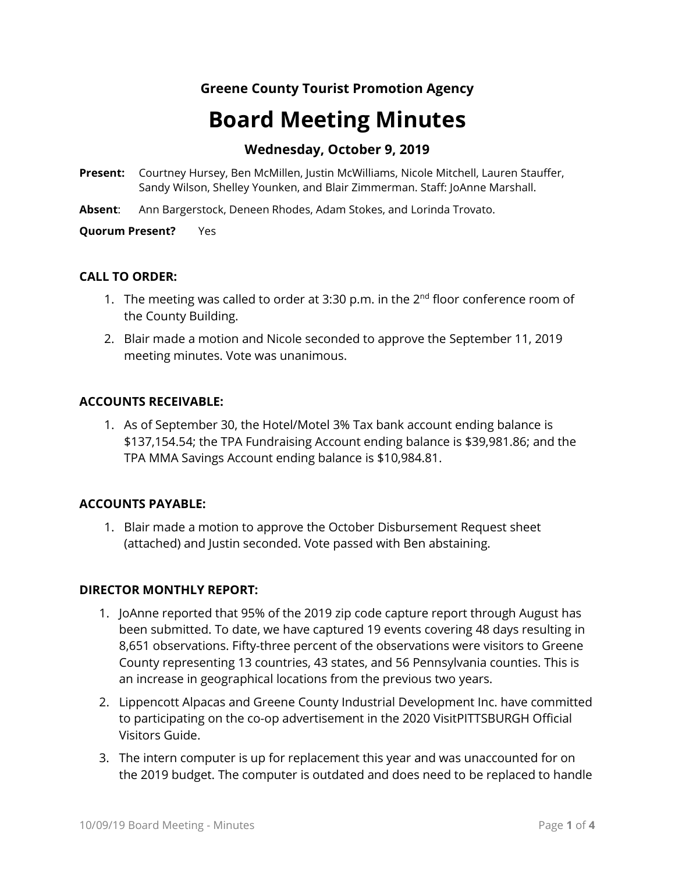# **Greene County Tourist Promotion Agency**

# **Board Meeting Minutes**

# **Wednesday, October 9, 2019**

- **Present:** Courtney Hursey, Ben McMillen, Justin McWilliams, Nicole Mitchell, Lauren Stauffer, Sandy Wilson, Shelley Younken, and Blair Zimmerman. Staff: JoAnne Marshall.
- **Absent**: Ann Bargerstock, Deneen Rhodes, Adam Stokes, and Lorinda Trovato.

**Quorum Present?** Yes

#### **CALL TO ORDER:**

- 1. The meeting was called to order at 3:30 p.m. in the  $2^{nd}$  floor conference room of the County Building.
- 2. Blair made a motion and Nicole seconded to approve the September 11, 2019 meeting minutes. Vote was unanimous.

#### **ACCOUNTS RECEIVABLE:**

1. As of September 30, the Hotel/Motel 3% Tax bank account ending balance is \$137,154.54; the TPA Fundraising Account ending balance is \$39,981.86; and the TPA MMA Savings Account ending balance is \$10,984.81.

## **ACCOUNTS PAYABLE:**

1. Blair made a motion to approve the October Disbursement Request sheet (attached) and Justin seconded. Vote passed with Ben abstaining.

#### **DIRECTOR MONTHLY REPORT:**

- 1. JoAnne reported that 95% of the 2019 zip code capture report through August has been submitted. To date, we have captured 19 events covering 48 days resulting in 8,651 observations. Fifty-three percent of the observations were visitors to Greene County representing 13 countries, 43 states, and 56 Pennsylvania counties. This is an increase in geographical locations from the previous two years.
- 2. Lippencott Alpacas and Greene County Industrial Development Inc. have committed to participating on the co-op advertisement in the 2020 VisitPITTSBURGH Official Visitors Guide.
- 3. The intern computer is up for replacement this year and was unaccounted for on the 2019 budget. The computer is outdated and does need to be replaced to handle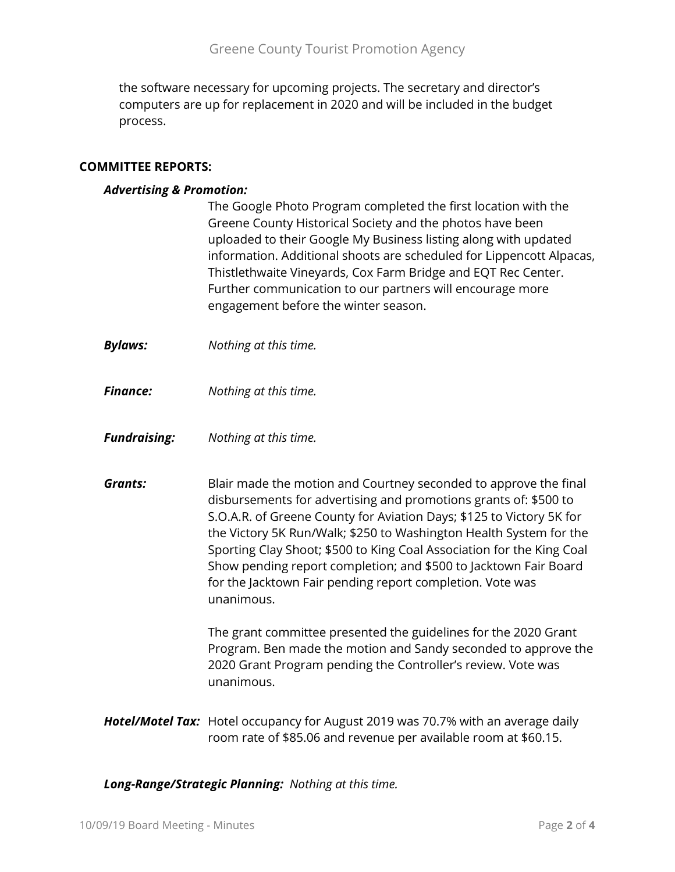the software necessary for upcoming projects. The secretary and director's computers are up for replacement in 2020 and will be included in the budget process.

#### **COMMITTEE REPORTS:**

#### *Advertising & Promotion:*

| The Google Photo Program completed the first location with the       |
|----------------------------------------------------------------------|
| Greene County Historical Society and the photos have been            |
| uploaded to their Google My Business listing along with updated      |
| information. Additional shoots are scheduled for Lippencott Alpacas, |
| Thistlethwaite Vineyards, Cox Farm Bridge and EQT Rec Center.        |
| Further communication to our partners will encourage more            |
| engagement before the winter season.                                 |

- *Bylaws: Nothing at this time.*
- *Finance: Nothing at this time.*
- *Fundraising: Nothing at this time.*
- **Grants:** Blair made the motion and Courtney seconded to approve the final disbursements for advertising and promotions grants of: \$500 to S.O.A.R. of Greene County for Aviation Days; \$125 to Victory 5K for the Victory 5K Run/Walk; \$250 to Washington Health System for the Sporting Clay Shoot; \$500 to King Coal Association for the King Coal Show pending report completion; and \$500 to Jacktown Fair Board for the Jacktown Fair pending report completion. Vote was unanimous.

The grant committee presented the guidelines for the 2020 Grant Program. Ben made the motion and Sandy seconded to approve the 2020 Grant Program pending the Controller's review. Vote was unanimous.

*Hotel/Motel Tax:* Hotel occupancy for August 2019 was 70.7% with an average daily room rate of \$85.06 and revenue per available room at \$60.15.

*Long-Range/Strategic Planning: Nothing at this time.*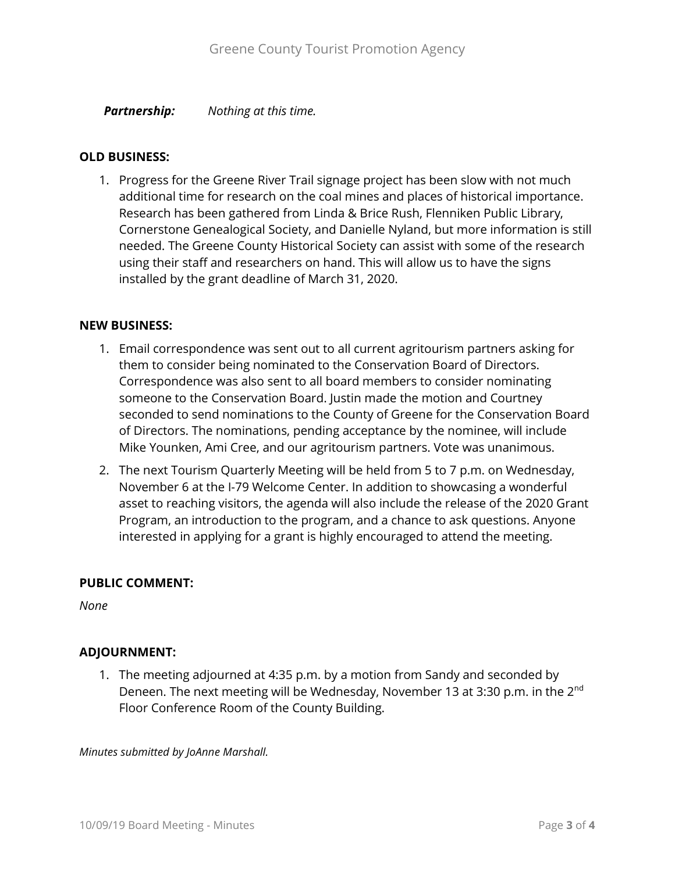*Partnership: Nothing at this time.*

#### **OLD BUSINESS:**

1. Progress for the Greene River Trail signage project has been slow with not much additional time for research on the coal mines and places of historical importance. Research has been gathered from Linda & Brice Rush, Flenniken Public Library, Cornerstone Genealogical Society, and Danielle Nyland, but more information is still needed. The Greene County Historical Society can assist with some of the research using their staff and researchers on hand. This will allow us to have the signs installed by the grant deadline of March 31, 2020.

#### **NEW BUSINESS:**

- 1. Email correspondence was sent out to all current agritourism partners asking for them to consider being nominated to the Conservation Board of Directors. Correspondence was also sent to all board members to consider nominating someone to the Conservation Board. Justin made the motion and Courtney seconded to send nominations to the County of Greene for the Conservation Board of Directors. The nominations, pending acceptance by the nominee, will include Mike Younken, Ami Cree, and our agritourism partners. Vote was unanimous.
- 2. The next Tourism Quarterly Meeting will be held from 5 to 7 p.m. on Wednesday, November 6 at the I-79 Welcome Center. In addition to showcasing a wonderful asset to reaching visitors, the agenda will also include the release of the 2020 Grant Program, an introduction to the program, and a chance to ask questions. Anyone interested in applying for a grant is highly encouraged to attend the meeting.

## **PUBLIC COMMENT:**

*None*

## **ADJOURNMENT:**

1. The meeting adjourned at 4:35 p.m. by a motion from Sandy and seconded by Deneen. The next meeting will be Wednesday, November 13 at 3:30 p.m. in the 2<sup>nd</sup> Floor Conference Room of the County Building.

*Minutes submitted by JoAnne Marshall.*